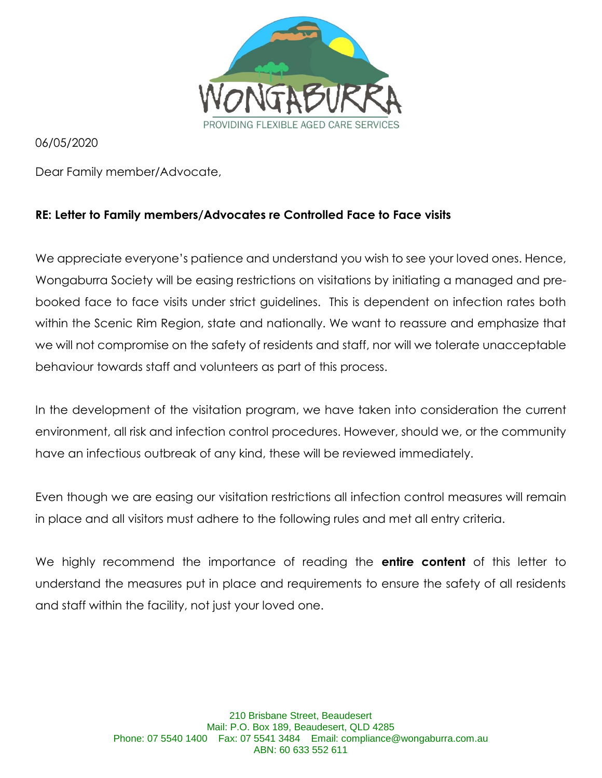

06/05/2020

Dear Family member/Advocate,

#### **RE: Letter to Family members/Advocates re Controlled Face to Face visits**

We appreciate everyone's patience and understand you wish to see your loved ones. Hence, Wongaburra Society will be easing restrictions on visitations by initiating a managed and prebooked face to face visits under strict guidelines. This is dependent on infection rates both within the Scenic Rim Region, state and nationally. We want to reassure and emphasize that we will not compromise on the safety of residents and staff, nor will we tolerate unacceptable behaviour towards staff and volunteers as part of this process.

In the development of the visitation program, we have taken into consideration the current environment, all risk and infection control procedures. However, should we, or the community have an infectious outbreak of any kind, these will be reviewed immediately.

Even though we are easing our visitation restrictions all infection control measures will remain in place and all visitors must adhere to the following rules and met all entry criteria.

We highly recommend the importance of reading the **entire content** of this letter to understand the measures put in place and requirements to ensure the safety of all residents and staff within the facility, not just your loved one.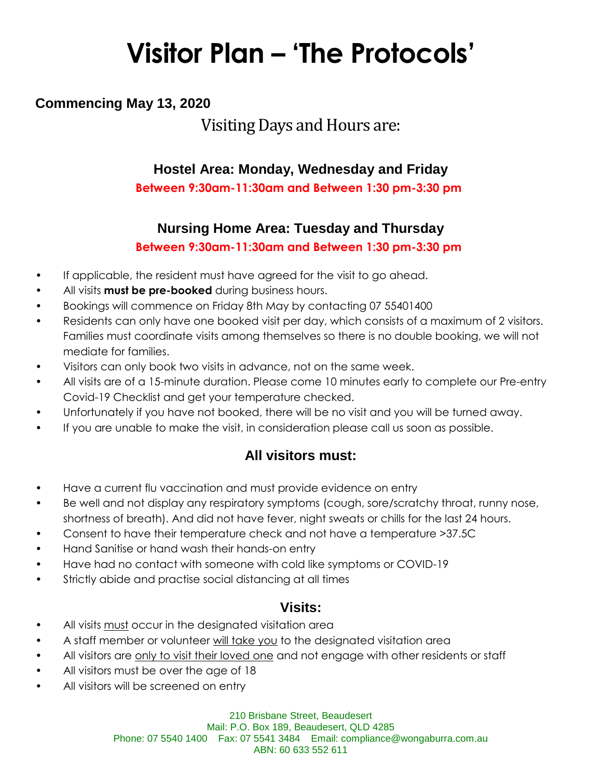# **Visitor Plan – 'The Protocols'**

# **Commencing May 13, 2020**

# Visiting Days and Hours are:

## **Hostel Area: Monday, Wednesday and Friday**

**Between 9:30am-11:30am and Between 1:30 pm-3:30 pm**

### **Nursing Home Area: Tuesday and Thursday**

**Between 9:30am-11:30am and Between 1:30 pm-3:30 pm**

- If applicable, the resident must have agreed for the visit to go ahead.
- All visits **must be pre-booked** during business hours.
- Bookings will commence on Friday 8th May by contacting 07 55401400
- Residents can only have one booked visit per day, which consists of a maximum of 2 visitors. Families must coordinate visits among themselves so there is no double booking, we will not mediate for families.
- Visitors can only book two visits in advance, not on the same week.
- All visits are of a 15-minute duration. Please come 10 minutes early to complete our Pre-entry Covid-19 Checklist and get your temperature checked.
- Unfortunately if you have not booked, there will be no visit and you will be turned away.
- If you are unable to make the visit, in consideration please call us soon as possible.

## **All visitors must:**

- Have a current flu vaccination and must provide evidence on entry
- Be well and not display any respiratory symptoms (cough, sore/scratchy throat, runny nose, shortness of breath). And did not have fever, night sweats or chills for the last 24 hours.
- Consent to have their temperature check and not have a temperature >37.5C
- Hand Sanitise or hand wash their hands-on entry
- Have had no contact with someone with cold like symptoms or COVID-19
- Strictly abide and practise social distancing at all times

#### **Visits:**

- All visits must occur in the designated visitation area
- A staff member or volunteer will take you to the designated visitation area
- All visitors are only to visit their loved one and not engage with other residents or staff
- All visitors must be over the age of 18
- All visitors will be screened on entry

210 Brisbane Street, Beaudesert Mail: P.O. Box 189, Beaudesert, QLD 4285 Phone: 07 5540 1400 Fax: 07 5541 3484 Email: compliance@wongaburra.com.au ABN: 60 633 552 611